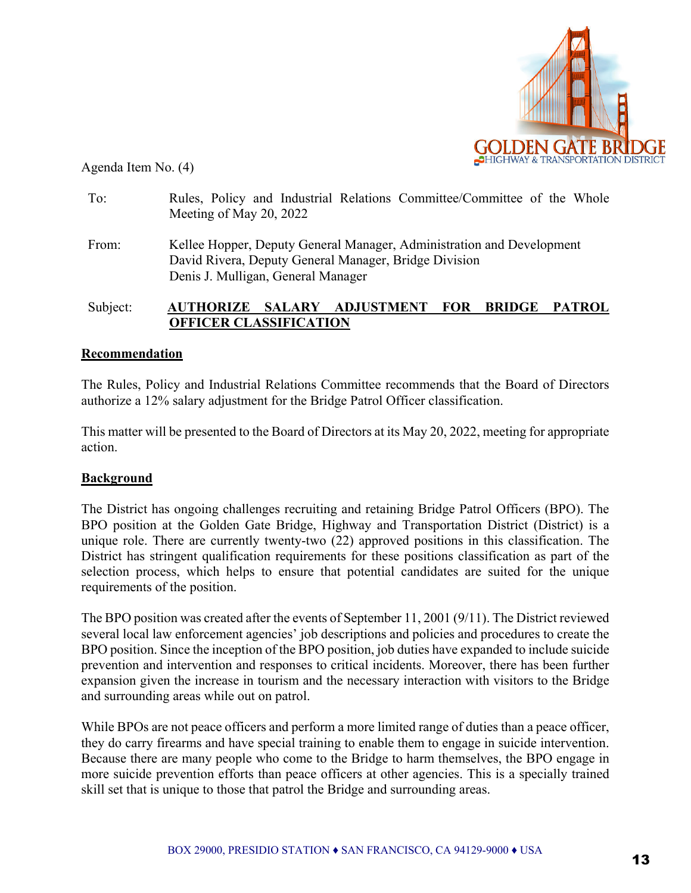

Agenda Item No. (4)

| To:      | Rules, Policy and Industrial Relations Committee/Committee of the Whole<br>Meeting of May 20, 2022                                                                   |  |  |  |  |
|----------|----------------------------------------------------------------------------------------------------------------------------------------------------------------------|--|--|--|--|
| From:    | Kellee Hopper, Deputy General Manager, Administration and Development<br>David Rivera, Deputy General Manager, Bridge Division<br>Denis J. Mulligan, General Manager |  |  |  |  |
| Subject: | ADJUSTMENT FOR BRIDGE PATROL<br><b>SALARY</b><br>AUTHORIZE<br><b>OFFICER CLASSIFICATION</b>                                                                          |  |  |  |  |

## **Recommendation**

The Rules, Policy and Industrial Relations Committee recommends that the Board of Directors authorize a 12% salary adjustment for the Bridge Patrol Officer classification.

This matter will be presented to the Board of Directors at its May 20, 2022, meeting for appropriate action.

## **Background**

The District has ongoing challenges recruiting and retaining Bridge Patrol Officers (BPO). The BPO position at the Golden Gate Bridge, Highway and Transportation District (District) is a unique role. There are currently twenty-two (22) approved positions in this classification. The District has stringent qualification requirements for these positions classification as part of the selection process, which helps to ensure that potential candidates are suited for the unique requirements of the position.

The BPO position was created after the events of September 11, 2001 (9/11). The District reviewed several local law enforcement agencies' job descriptions and policies and procedures to create the BPO position. Since the inception of the BPO position, job duties have expanded to include suicide prevention and intervention and responses to critical incidents. Moreover, there has been further expansion given the increase in tourism and the necessary interaction with visitors to the Bridge and surrounding areas while out on patrol.

While BPOs are not peace officers and perform a more limited range of duties than a peace officer, they do carry firearms and have special training to enable them to engage in suicide intervention. Because there are many people who come to the Bridge to harm themselves, the BPO engage in more suicide prevention efforts than peace officers at other agencies. This is a specially trained skill set that is unique to those that patrol the Bridge and surrounding areas.